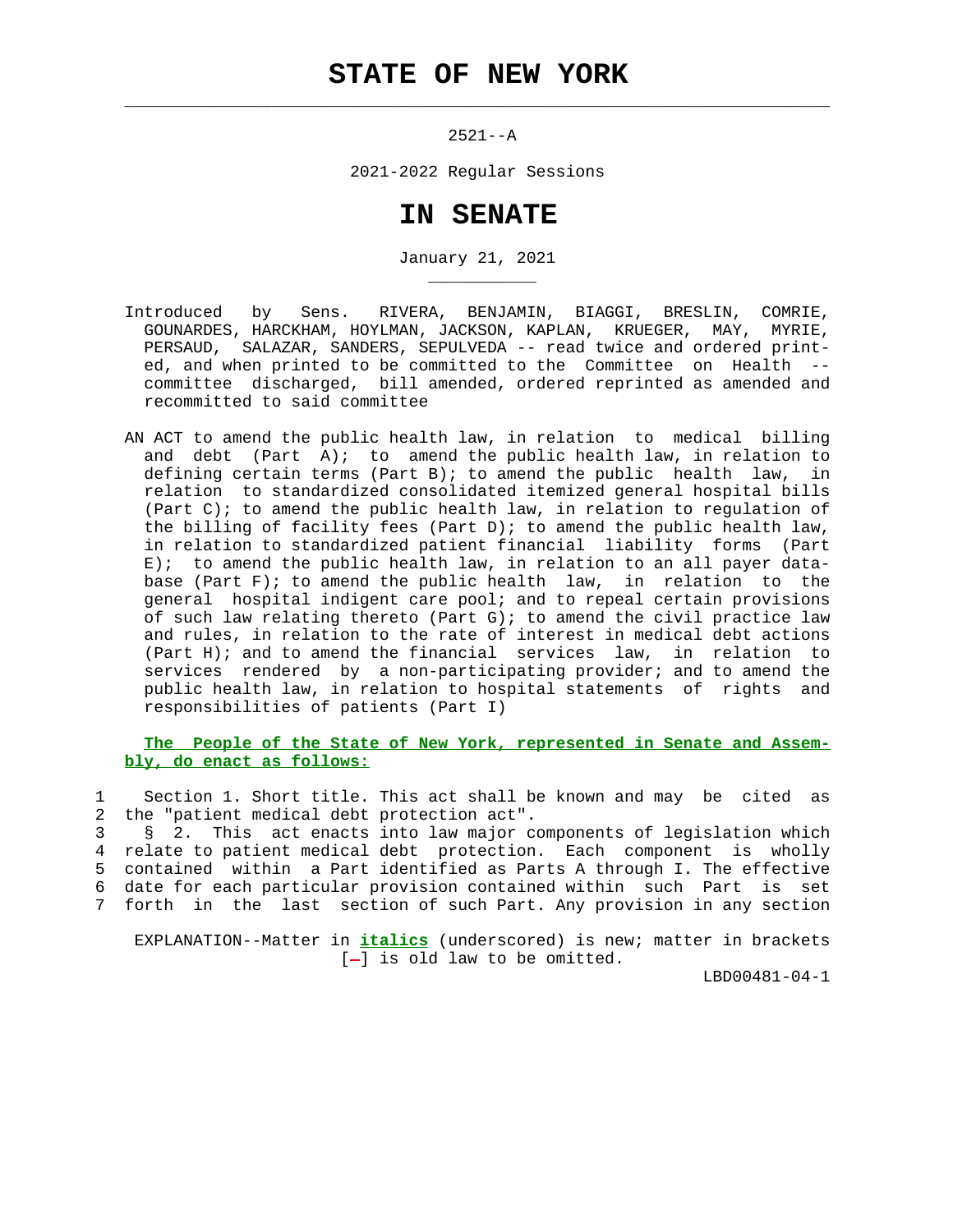$\mathcal{L}_\text{max} = \frac{1}{2} \sum_{i=1}^{n} \frac{1}{2} \sum_{i=1}^{n} \frac{1}{2} \sum_{i=1}^{n} \frac{1}{2} \sum_{i=1}^{n} \frac{1}{2} \sum_{i=1}^{n} \frac{1}{2} \sum_{i=1}^{n} \frac{1}{2} \sum_{i=1}^{n} \frac{1}{2} \sum_{i=1}^{n} \frac{1}{2} \sum_{i=1}^{n} \frac{1}{2} \sum_{i=1}^{n} \frac{1}{2} \sum_{i=1}^{n} \frac{1}{2} \sum_{i=1}^{n} \frac{1$ 

\_\_\_\_\_\_\_\_\_\_\_

2521--A

2021-2022 Regular Sessions

## **IN SENATE**

January 21, 2021

- Introduced by Sens. RIVERA, BENJAMIN, BIAGGI, BRESLIN, COMRIE, GOUNARDES, HARCKHAM, HOYLMAN, JACKSON, KAPLAN, KRUEGER, MAY, MYRIE, PERSAUD, SALAZAR, SANDERS, SEPULVEDA -- read twice and ordered print ed, and when printed to be committed to the Committee on Health - committee discharged, bill amended, ordered reprinted as amended and recommitted to said committee
- AN ACT to amend the public health law, in relation to medical billing and debt (Part  $A$ ); to amend the public health law, in relation to defining certain terms (Part B); to amend the public health law, in relation to standardized consolidated itemized general hospital bills (Part C); to amend the public health law, in relation to regulation of the billing of facility fees (Part D); to amend the public health law, in relation to standardized patient financial liability forms (Part E); to amend the public health law, in relation to an all payer data base (Part  $F$ ); to amend the public health law, in relation to the general hospital indigent care pool; and to repeal certain provisions of such law relating thereto (Part G); to amend the civil practice law and rules, in relation to the rate of interest in medical debt actions (Part H); and to amend the financial services law, in relation to services rendered by a non-participating provider; and to amend the public health law, in relation to hospital statements of rights and responsibilities of patients (Part I)

 **The People of the State of New York, represented in Senate and Assem bly, do enact as follows:**

 1 Section 1. Short title. This act shall be known and may be cited as 2 the "patient medical debt protection act".

 3 § 2. This act enacts into law major components of legislation which 4 relate to patient medical debt protection. Each component is wholly 5 contained within a Part identified as Parts A through I. The effective 6 date for each particular provision contained within such Part is set 7 forth in the last section of such Part. Any provision in any section

 EXPLANATION--Matter in **italics** (underscored) is new; matter in brackets  $[-]$  is old law to be omitted.

LBD00481-04-1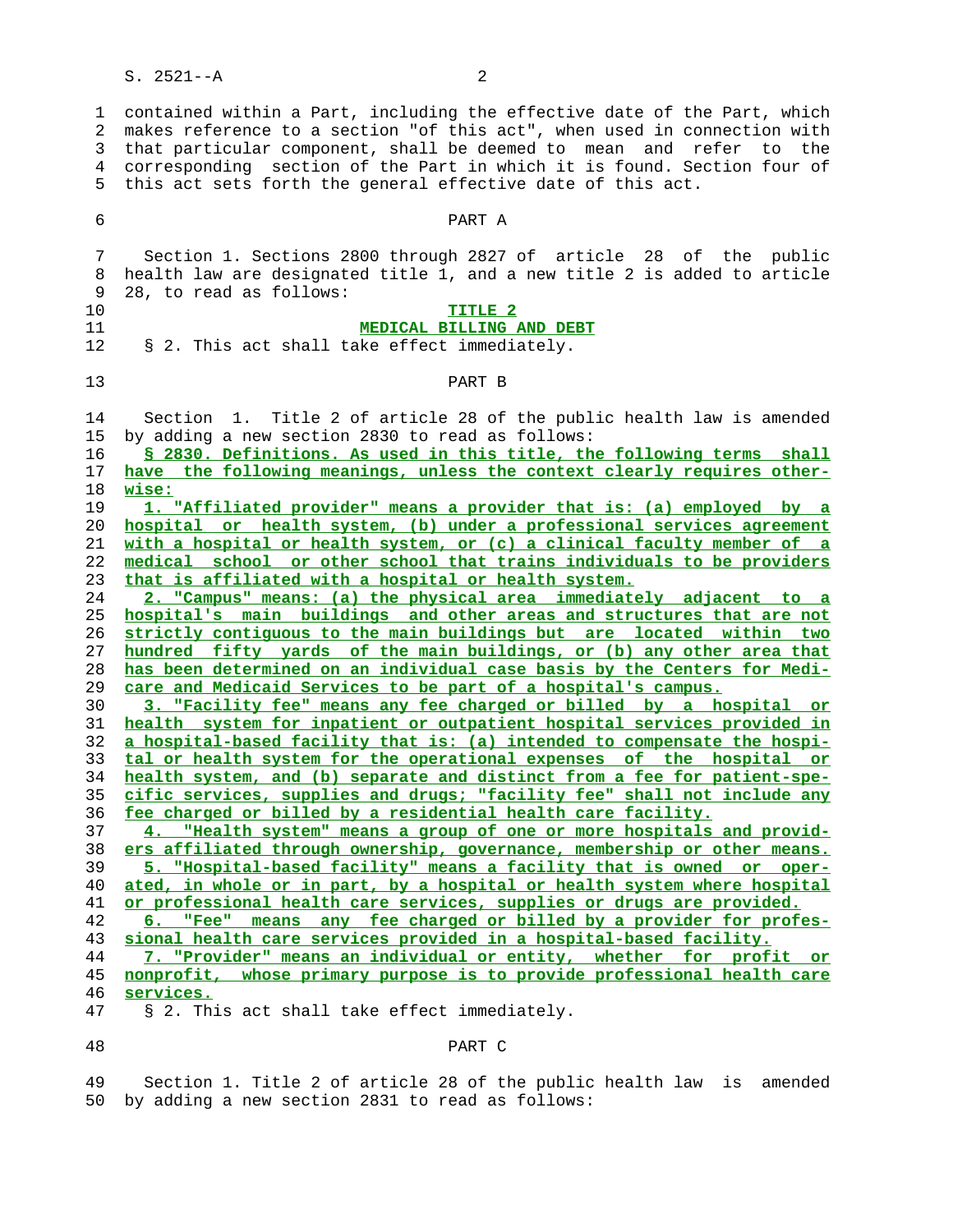1 contained within a Part, including the effective date of the Part, which 2 makes reference to a section "of this act", when used in connection with 3 that particular component, shall be deemed to mean and refer to the 4 corresponding section of the Part in which it is found. Section four of 5 this act sets forth the general effective date of this act.

| 6           | PART A                                                                                                                                                                   |  |  |  |  |  |
|-------------|--------------------------------------------------------------------------------------------------------------------------------------------------------------------------|--|--|--|--|--|
| 7<br>8<br>9 | Section 1. Sections 2800 through 2827 of article 28 of the public<br>health law are designated title 1, and a new title 2 is added to article<br>28, to read as follows: |  |  |  |  |  |
| 10          | TITLE <sub>2</sub>                                                                                                                                                       |  |  |  |  |  |
| 11          | MEDICAL BILLING AND DEBT                                                                                                                                                 |  |  |  |  |  |
| 12          | § 2. This act shall take effect immediately.                                                                                                                             |  |  |  |  |  |
| 13          | PART B                                                                                                                                                                   |  |  |  |  |  |
| 14          | Section 1. Title 2 of article 28 of the public health law is amended                                                                                                     |  |  |  |  |  |
| 15          | by adding a new section 2830 to read as follows:                                                                                                                         |  |  |  |  |  |
| 16          | § 2830. Definitions. As used in this title, the following terms shall                                                                                                    |  |  |  |  |  |
| 17          | have the following meanings, unless the context clearly requires other-                                                                                                  |  |  |  |  |  |
| 18          | wise:                                                                                                                                                                    |  |  |  |  |  |
| 19          | 1. "Affiliated provider" means a provider that is: (a) employed by a                                                                                                     |  |  |  |  |  |
| 20          | hospital or health system, (b) under a professional services agreement                                                                                                   |  |  |  |  |  |
| 21          | with a hospital or health system, or (c) a clinical faculty member of a                                                                                                  |  |  |  |  |  |
| 22          | medical school or other school that trains individuals to be providers                                                                                                   |  |  |  |  |  |
| 23          | that is affiliated with a hospital or health system.                                                                                                                     |  |  |  |  |  |
| 24          | 2. "Campus" means: (a) the physical area immediately adjacent to a                                                                                                       |  |  |  |  |  |
| 25          | hospital's main buildings and other areas and structures that are not                                                                                                    |  |  |  |  |  |
| 26          | strictly contiguous to the main buildings but are located within two                                                                                                     |  |  |  |  |  |
| 27          | hundred fifty yards of the main buildings, or (b) any other area that                                                                                                    |  |  |  |  |  |
| 28          | has been determined on an individual case basis by the Centers for Medi-                                                                                                 |  |  |  |  |  |
| 29          | care and Medicaid Services to be part of a hospital's campus.                                                                                                            |  |  |  |  |  |
| 30          | 3. "Facility fee" means any fee charged or billed by a hospital or                                                                                                       |  |  |  |  |  |
| 31          | health system for inpatient or outpatient hospital services provided in                                                                                                  |  |  |  |  |  |
| 32          | a hospital-based facility that is: (a) intended to compensate the hospi-                                                                                                 |  |  |  |  |  |
| 33          | tal or health system for the operational expenses of the hospital or                                                                                                     |  |  |  |  |  |
| 34          | health system, and (b) separate and distinct from a fee for patient-spe-                                                                                                 |  |  |  |  |  |
| 35<br>36    | cific services, supplies and drugs; "facility fee" shall not include any                                                                                                 |  |  |  |  |  |
| 37          | fee charged or billed by a residential health care facility.<br>"Health system" means a group of one or more hospitals and provid-                                       |  |  |  |  |  |
| 38          | ers affiliated through ownership, governance, membership or other means.                                                                                                 |  |  |  |  |  |
| 39          | 5. "Hospital-based facility" means a facility that is owned or oper-                                                                                                     |  |  |  |  |  |
| 40          | ated, in whole or in part, by a hospital or health system where hospital                                                                                                 |  |  |  |  |  |
| 41          | or professional health care services, supplies or drugs are provided.                                                                                                    |  |  |  |  |  |
| 42          | "Fee" means any fee charged or billed by a provider for profes-<br>6.                                                                                                    |  |  |  |  |  |
| 43          | sional health care services provided in a hospital-based facility.                                                                                                       |  |  |  |  |  |
| 44          | 7. "Provider" means an individual or entity, whether for profit or                                                                                                       |  |  |  |  |  |
| 45          | nonprofit, whose primary purpose is to provide professional health care                                                                                                  |  |  |  |  |  |
| 46          | services.                                                                                                                                                                |  |  |  |  |  |
| 47          | § 2. This act shall take effect immediately.                                                                                                                             |  |  |  |  |  |
| 48          | PART C                                                                                                                                                                   |  |  |  |  |  |

 49 Section 1. Title 2 of article 28 of the public health law is amended 50 by adding a new section 2831 to read as follows: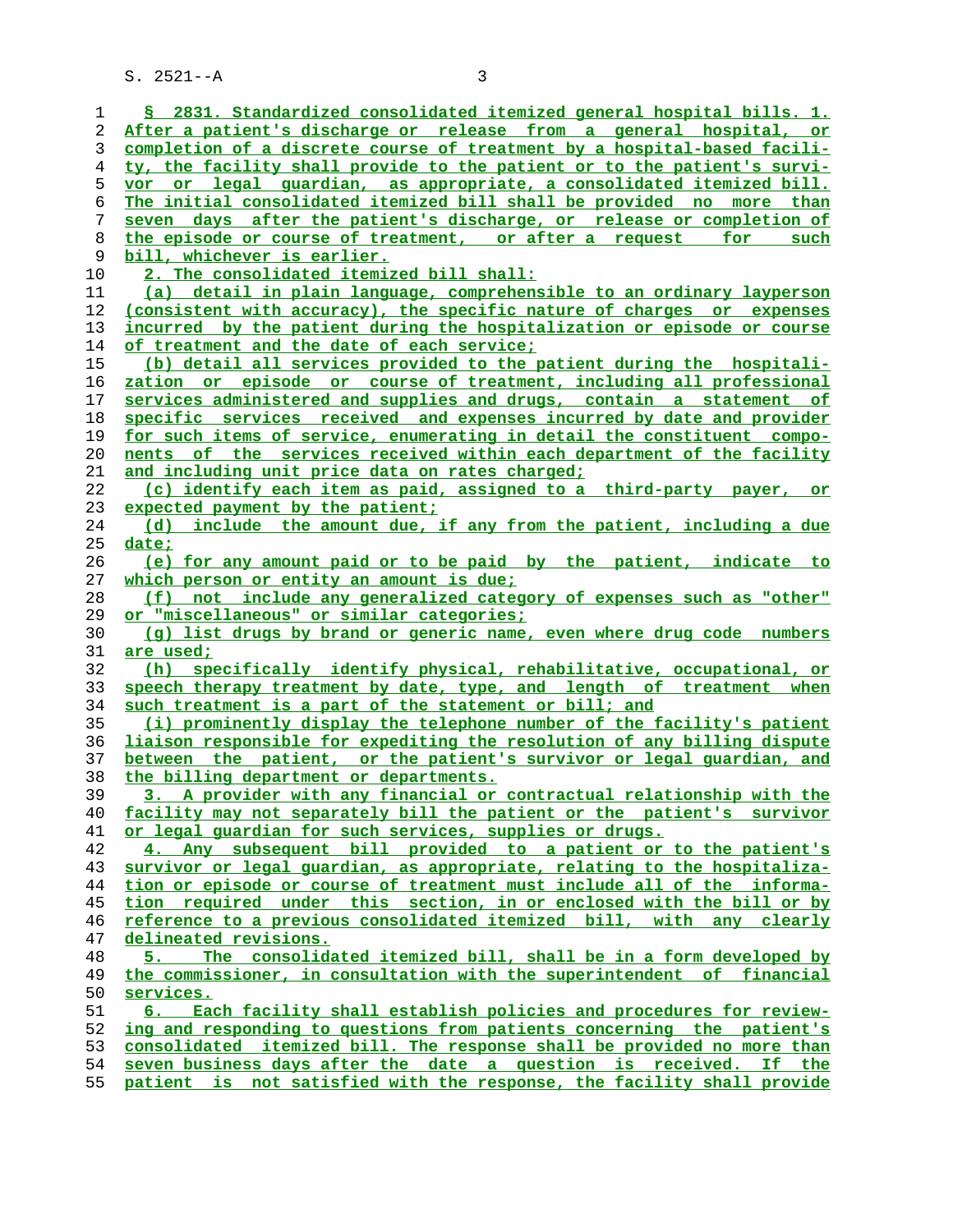| 1        | § 2831. Standardized consolidated itemized general hospital bills. 1.                                               |
|----------|---------------------------------------------------------------------------------------------------------------------|
| 2        | After a patient's discharge or release from a general hospital, or                                                  |
| 3        | completion of a discrete course of treatment by a hospital-based facili-                                            |
| 4        | ty, the facility shall provide to the patient or to the patient's survi-                                            |
| 5        | vor or legal guardian, as appropriate, a consolidated itemized bill.                                                |
| 6        | The initial consolidated itemized bill shall be provided no more than                                               |
| 7        | seven days after the patient's discharge, or release or completion of                                               |
| 8        | the episode or course of treatment, or after a request for such                                                     |
| 9        | bill, whichever is earlier.                                                                                         |
| 10       | 2. The consolidated itemized bill shall:                                                                            |
| 11       | (a) detail in plain language, comprehensible to an ordinary layperson                                               |
| 12       | (consistent with accuracy), the specific nature of charges or expenses                                              |
| 13       | incurred by the patient during the hospitalization or episode or course                                             |
| 14       | of treatment and the date of each service;                                                                          |
| 15       | (b) detail all services provided to the patient during the hospitali-                                               |
| 16       | zation or episode or course of treatment, including all professional                                                |
| 17       | services administered and supplies and drugs, contain a statement of                                                |
| 18       | specific services received and expenses incurred by date and provider                                               |
| 19       | for such items of service, enumerating in detail the constituent compo-                                             |
| 20       | nents of the services received within each department of the facility                                               |
| 21       | and including unit price data on rates charged;                                                                     |
| 22       | (c) identify each item as paid, assigned to a third-party payer, or                                                 |
| 23       | expected payment by the patient;                                                                                    |
| 24       | (d) include the amount due, if any from the patient, including a due                                                |
| 25       | date;                                                                                                               |
| 26       | (e) for any amount paid or to be paid by the patient, indicate to                                                   |
| 27<br>28 | which person or entity an amount is due;<br>not include any generalized category of expenses such as "other"<br>(E) |
| 29       | <u>or "miscellaneous" or similar categories;</u>                                                                    |
| 30       | (q) list drugs by brand or generic name, even where drug code numbers                                               |
| 31       | are used;                                                                                                           |
| 32       | (h) specifically identify physical, rehabilitative, occupational, or                                                |
| 33       | speech therapy treatment by date, type, and length of treatment when                                                |
| 34       | such treatment is a part of the statement or bill; and                                                              |
| 35       | (i) prominently display the telephone number of the facility's patient                                              |
| 36       | liaison responsible for expediting the resolution of any billing dispute                                            |
| 37       | between the patient, or the patient's survivor or legal quardian, and                                               |
| 38       | the billing department or departments.                                                                              |
| 39       | 3. A provider with any financial or contractual relationship with the                                               |
| 40       | facility may not separately bill the patient or the patient's survivor                                              |
| 41       | or legal quardian for such services, supplies or drugs.                                                             |
| 42       | 4. Any subsequent bill provided to a patient or to the patient's                                                    |
| 43       | survivor or legal guardian, as appropriate, relating to the hospitaliza-                                            |
| 44       | tion or episode or course of treatment must include all of the informa-                                             |
| 45       | tion required under this section, in or enclosed with the bill or by                                                |
| 46       | reference to a previous consolidated itemized bill, with any clearly                                                |
| 47       | delineated revisions.                                                                                               |
| 48       | The consolidated itemized bill, shall be in a form developed by                                                     |
| 49       | the commissioner, in consultation with the superintendent of financial                                              |
| 50       | services.                                                                                                           |
| 51       | 6. Each facility shall establish policies and procedures for review-                                                |
| 52       | ing and responding to questions from patients concerning the patient's                                              |
| 53       | consolidated itemized bill. The response shall be provided no more than                                             |
| 54       | seven business days after the date a question is received. If the                                                   |
| 55       | patient is not satisfied with the response, the facility shall provide                                              |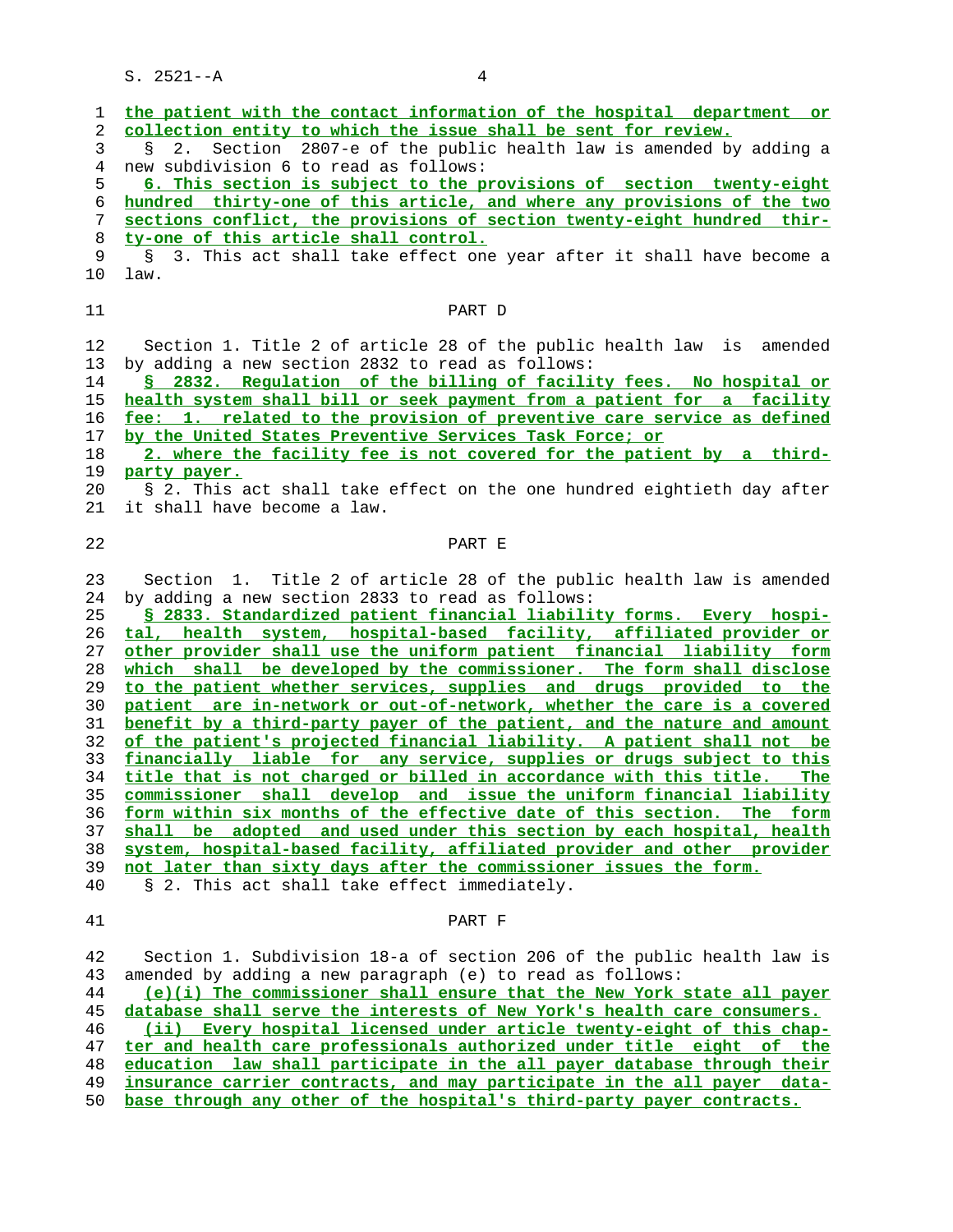**the patient with the contact information of the hospital department or collection entity to which the issue shall be sent for review.** 3 § 2. Section 2807-e of the public health law is amended by adding a 4 new subdivision 6 to read as follows: **6. This section is subject to the provisions of section twenty-eight hundred thirty-one of this article, and where any provisions of the two sections conflict, the provisions of section twenty-eight hundred thir- ty-one of this article shall control.** § 3. This act shall take effect one year after it shall have become a 10 law. 11 PART D 12 Section 1. Title 2 of article 28 of the public health law is amended 13 by adding a new section 2832 to read as follows: **§ 2832. Regulation of the billing of facility fees. No hospital or health system shall bill or seek payment from a patient for a facility fee: 1. related to the provision of preventive care service as defined by the United States Preventive Services Task Force; or 2. where the facility fee is not covered for the patient by a third- party payer.** 20 § 2. This act shall take effect on the one hundred eightieth day after 21 it shall have become a law. 22 PART E 23 Section 1. Title 2 of article 28 of the public health law is amended 24 by adding a new section 2833 to read as follows: **§ 2833. Standardized patient financial liability forms. Every hospi- tal, health system, hospital-based facility, affiliated provider or other provider shall use the uniform patient financial liability form which shall be developed by the commissioner. The form shall disclose to the patient whether services, supplies and drugs provided to the patient are in-network or out-of-network, whether the care is a covered benefit by a third-party payer of the patient, and the nature and amount of the patient's projected financial liability. A patient shall not be financially liable for any service, supplies or drugs subject to this title that is not charged or billed in accordance with this title. The commissioner shall develop and issue the uniform financial liability form within six months of the effective date of this section. The form shall be adopted and used under this section by each hospital, health system, hospital-based facility, affiliated provider and other provider not later than sixty days after the commissioner issues the form.** 40 § 2. This act shall take effect immediately. 41 PART F 42 Section 1. Subdivision 18-a of section 206 of the public health law is 43 amended by adding a new paragraph (e) to read as follows: **(e)(i) The commissioner shall ensure that the New York state all payer database shall serve the interests of New York's health care consumers. (ii) Every hospital licensed under article twenty-eight of this chap- ter and health care professionals authorized under title eight of the education law shall participate in the all payer database through their insurance carrier contracts, and may participate in the all payer data-**

**base through any other of the hospital's third-party payer contracts.**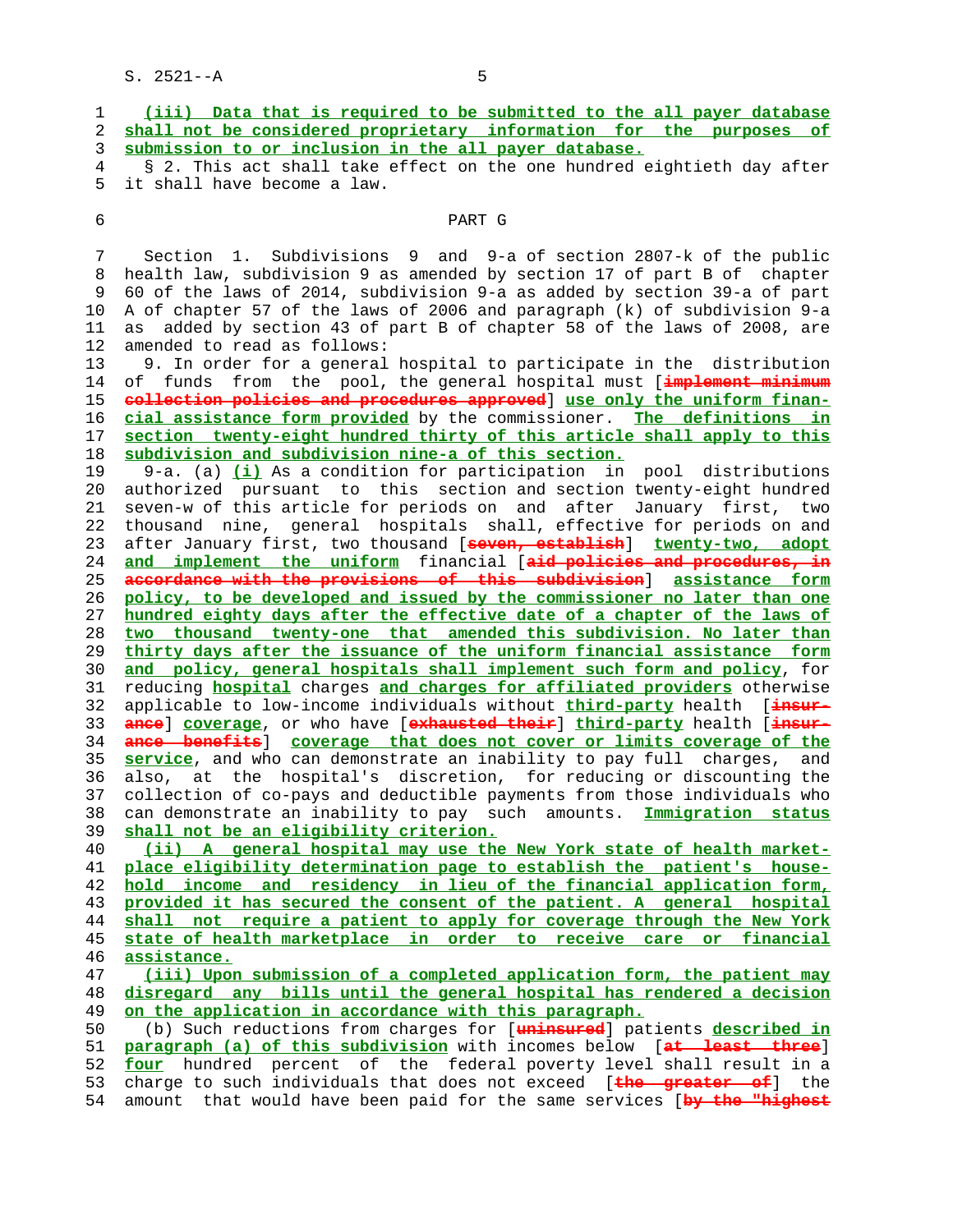|  | (iii) Data that is required to be submitted to the all payer database    |  |
|--|--------------------------------------------------------------------------|--|
|  | 2 shall not be considered proprietary information for the purposes of    |  |
|  | 3 submission to or inclusion in the all payer database.                  |  |
|  | 4 § 2. This act shall take effect on the one hundred eightieth day after |  |

ect on the one hundred eightieth day after 5 it shall have become a law.

## 6 PART G

 7 Section 1. Subdivisions 9 and 9-a of section 2807-k of the public 8 health law, subdivision 9 as amended by section 17 of part B of chapter 9 60 of the laws of 2014, subdivision 9-a as added by section 39-a of part 10 A of chapter 57 of the laws of 2006 and paragraph (k) of subdivision 9-a 11 as added by section 43 of part B of chapter 58 of the laws of 2008, are 12 amended to read as follows:

 13 9. In order for a general hospital to participate in the distribution 14 of funds from the pool, the general hospital must [**implement minimum collection policies and procedures approved**] **use only the uniform finan- cial assistance form provided** by the commissioner. **The definitions in section twenty-eight hundred thirty of this article shall apply to this subdivision and subdivision nine-a of this section.**

 19 9-a. (a) **(i)** As a condition for participation in pool distributions 20 authorized pursuant to this section and section twenty-eight hundred 21 seven-w of this article for periods on and after January first, two 22 thousand nine, general hospitals shall, effective for periods on and 23 after January first, two thousand [**seven, establish**] **twenty-two, adopt** 24 **and implement the uniform** financial [**aid policies and procedures, in** 25 **accordance with the provisions of this subdivision**] **assistance form** 26 **policy, to be developed and issued by the commissioner no later than one** 27 **hundred eighty days after the effective date of a chapter of the laws of** 28 **two thousand twenty-one that amended this subdivision. No later than** 29 **thirty days after the issuance of the uniform financial assistance form** 30 **and policy, general hospitals shall implement such form and policy**, for 31 reducing **hospital** charges **and charges for affiliated providers** otherwise 32 applicable to low-income individuals without **third-party** health [**insur-** 33 **ance**] **coverage**, or who have [**exhausted their**] **third-party** health [**insur-** 34 **ance benefits**] **coverage that does not cover or limits coverage of the** 35 **service**, and who can demonstrate an inability to pay full charges, and 36 also, at the hospital's discretion, for reducing or discounting the 37 collection of co-pays and deductible payments from those individuals who 38 can demonstrate an inability to pay such amounts. **Immigration status** 39 **shall not be an eligibility criterion.**

**(ii) A general hospital may use the New York state of health market- place eligibility determination page to establish the patient's house- hold income and residency in lieu of the financial application form, provided it has secured the consent of the patient. A general hospital shall not require a patient to apply for coverage through the New York state of health marketplace in order to receive care or financial assistance.**

 47 **(iii) Upon submission of a completed application form, the patient may** 48 **disregard any bills until the general hospital has rendered a decision** 49 **on the application in accordance with this paragraph.**

 50 (b) Such reductions from charges for [**uninsured**] patients **described in** 51 **paragraph (a) of this subdivision** with incomes below [**at least three**] 52 **four** hundred percent of the federal poverty level shall result in a 53 charge to such individuals that does not exceed [**the greater of**] the 54 amount that would have been paid for the same services [**by the "highest**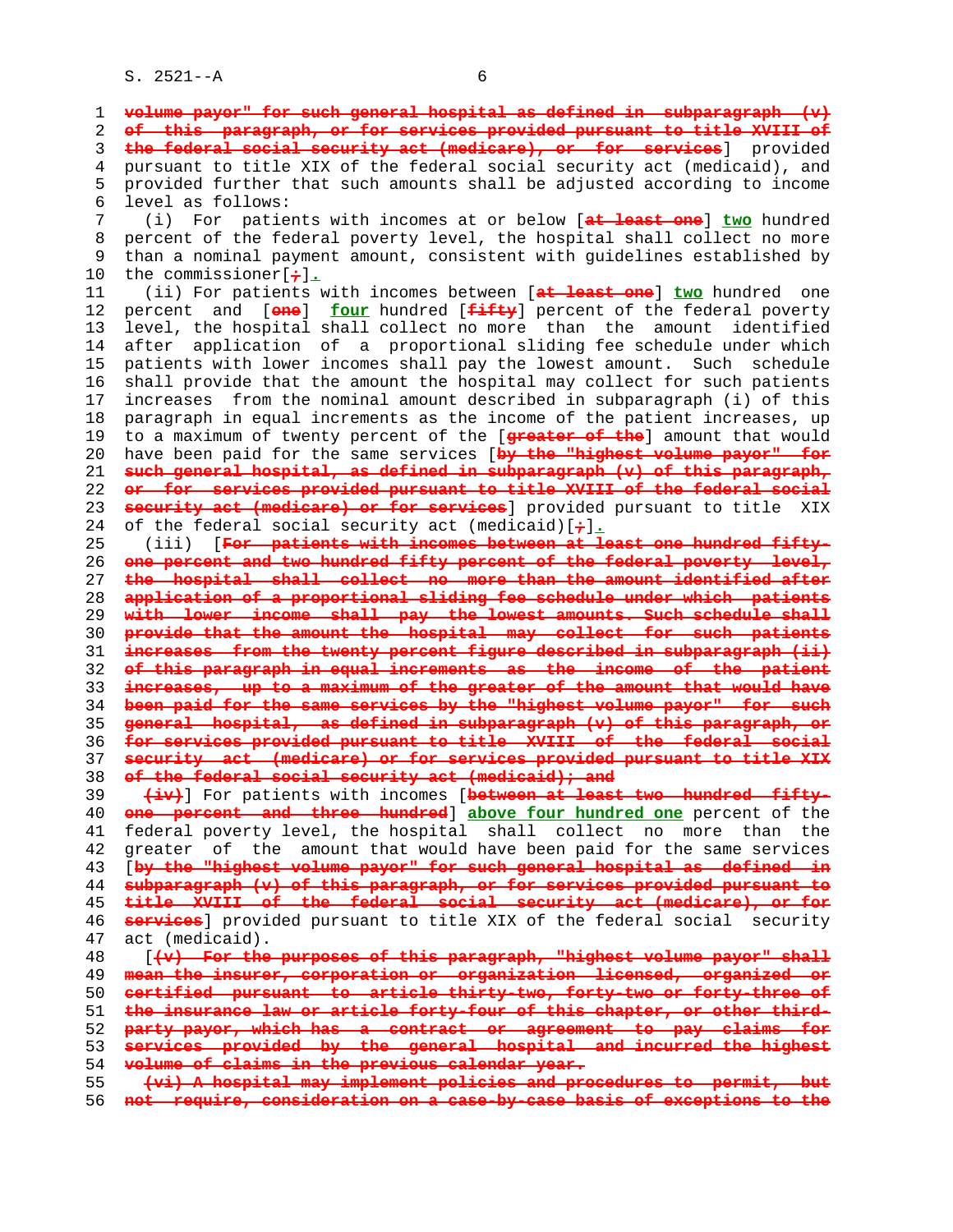1 **volume payor" for such general hospital as defined in subparagraph (v)** 2 **of this paragraph, or for services provided pursuant to title XVIII of** 3 **the federal social security act (medicare), or for services**] provided 4 pursuant to title XIX of the federal social security act (medicaid), and 5 provided further that such amounts shall be adjusted according to income 6 level as follows: 7 (i) For patients with incomes at or below [**at least one**] **two** hundred 8 percent of the federal poverty level, the hospital shall collect no more<br>9 than a nominal payment amount, consistent with quidelines established by than a nominal payment amount, consistent with guidelines established by 10 the commissioner[**;**]**.** 11 (ii) For patients with incomes between [**at least one**] **two** hundred one 12 percent and [**one**] **four** hundred [**fifty**] percent of the federal poverty 13 level, the hospital shall collect no more than the amount identified 14 after application of a proportional sliding fee schedule under which 15 patients with lower incomes shall pay the lowest amount. Such schedule 16 shall provide that the amount the hospital may collect for such patients 17 increases from the nominal amount described in subparagraph (i) of this 18 paragraph in equal increments as the income of the patient increases, up 19 to a maximum of twenty percent of the [**greater of the**] amount that would 20 have been paid for the same services [**by the "highest volume payor" for** 21 **such general hospital, as defined in subparagraph (v) of this paragraph,** 22 **or for services provided pursuant to title XVIII of the federal social** 23 **security act (medicare) or for services**] provided pursuant to title XIX 24 of the federal social security act (medicaid)[**;**]**.** 25 (iii) [**For patients with incomes between at least one hundred fifty-** 26 **one percent and two hundred fifty percent of the federal poverty level,** 27 **the hospital shall collect no more than the amount identified after** 28 **application of a proportional sliding fee schedule under which patients** 29 **with lower income shall pay the lowest amounts. Such schedule shall** 30 **provide that the amount the hospital may collect for such patients** 31 **increases from the twenty percent figure described in subparagraph (ii)** 32 **of this paragraph in equal increments as the income of the patient** 33 **increases, up to a maximum of the greater of the amount that would have** 34 **been paid for the same services by the "highest volume payor" for such** 35 **general hospital, as defined in subparagraph (v) of this paragraph, or** 36 **for services provided pursuant to title XVIII of the federal social** 37 **security act (medicare) or for services provided pursuant to title XIX** 38 **of the federal social security act (medicaid); and** 39 **(iv)**] For patients with incomes [**between at least two hundred fifty-** 40 **one percent and three hundred**] **above four hundred one** percent of the 41 federal poverty level, the hospital shall collect no more than the 42 greater of the amount that would have been paid for the same services 43 [**by the "highest volume payor" for such general hospital as defined in** 44 **subparagraph (v) of this paragraph, or for services provided pursuant to** 45 **title XVIII of the federal social security act (medicare), or for** 46 **services**] provided pursuant to title XIX of the federal social security 47 act (medicaid). 48 [**(v) For the purposes of this paragraph, "highest volume payor" shall** 49 **mean the insurer, corporation or organization licensed, organized or** 50 **certified pursuant to article thirty-two, forty-two or forty-three of** 51 **the insurance law or article forty-four of this chapter, or other third-** 52 **party payor, which has a contract or agreement to pay claims for** 53 **services provided by the general hospital and incurred the highest** 54 **volume of claims in the previous calendar year.** 55 **(vi) A hospital may implement policies and procedures to permit, but** 56 **not require, consideration on a case-by-case basis of exceptions to the**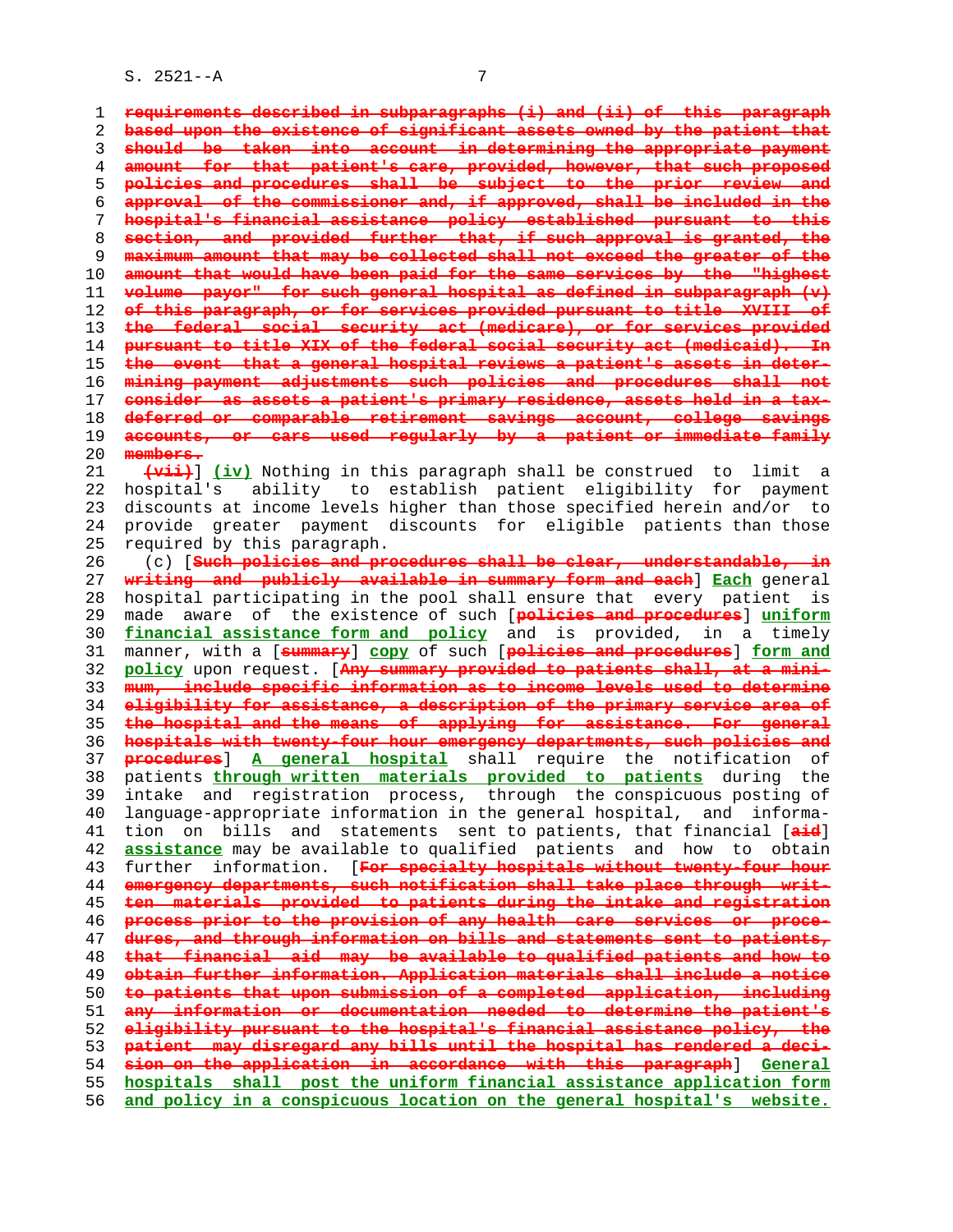**requirements described in subparagraphs (i) and (ii) of this paragraph based upon the existence of significant assets owned by the patient that should be taken into account in determining the appropriate payment amount for that patient's care, provided, however, that such proposed policies and procedures shall be subject to the prior review and approval of the commissioner and, if approved, shall be included in the hospital's financial assistance policy established pursuant to this section, and provided further that, if such approval is granted, the maximum amount that may be collected shall not exceed the greater of the amount that would have been paid for the same services by the "highest volume payor" for such general hospital as defined in subparagraph (v) of this paragraph, or for services provided pursuant to title XVIII of the federal social security act (medicare), or for services provided pursuant to title XIX of the federal social security act (medicaid). In the event that a general hospital reviews a patient's assets in deter- mining payment adjustments such policies and procedures shall not consider as assets a patient's primary residence, assets held in a tax- deferred or comparable retirement savings account, college savings accounts, or cars used regularly by a patient or immediate family members. (vii)**] **(iv)** Nothing in this paragraph shall be construed to limit a 22 hospital's ability to establish patient eligibility for payment 23 discounts at income levels higher than those specified herein and/or to 24 provide greater payment discounts for eligible patients than those 25 required by this paragraph. 26 (c) [**Such policies and procedures shall be clear, understandable, in writing and publicly available in summary form and each**] **Each** general 28 hospital participating in the pool shall ensure that every patient is 29 made aware of the existence of such [**policies and procedures**] **uniform financial assistance form and policy** and is provided, in a timely 31 manner, with a [**summary**] **copy** of such [**policies and procedures**] **form and policy** upon request. [**Any summary provided to patients shall, at a mini- mum, include specific information as to income levels used to determine eligibility for assistance, a description of the primary service area of the hospital and the means of applying for assistance. For general hospitals with twenty-four hour emergency departments, such policies and procedures**] **A general hospital** shall require the notification of 38 patients **through written materials provided to patients** during the 39 intake and registration process, through the conspicuous posting of 40 language-appropriate information in the general hospital, and informa- 41 tion on bills and statements sent to patients, that financial [**aid**] **assistance** may be available to qualified patients and how to obtain 43 further information. [**For specialty hospitals without twenty-four hour emergency departments, such notification shall take place through writ- ten materials provided to patients during the intake and registration process prior to the provision of any health care services or proce- dures, and through information on bills and statements sent to patients, that financial aid may be available to qualified patients and how to obtain further information. Application materials shall include a notice to patients that upon submission of a completed application, including any information or documentation needed to determine the patient's eligibility pursuant to the hospital's financial assistance policy, the patient may disregard any bills until the hospital has rendered a deci- sion on the application in accordance with this paragraph**] **General hospitals shall post the uniform financial assistance application form and policy in a conspicuous location on the general hospital's website.**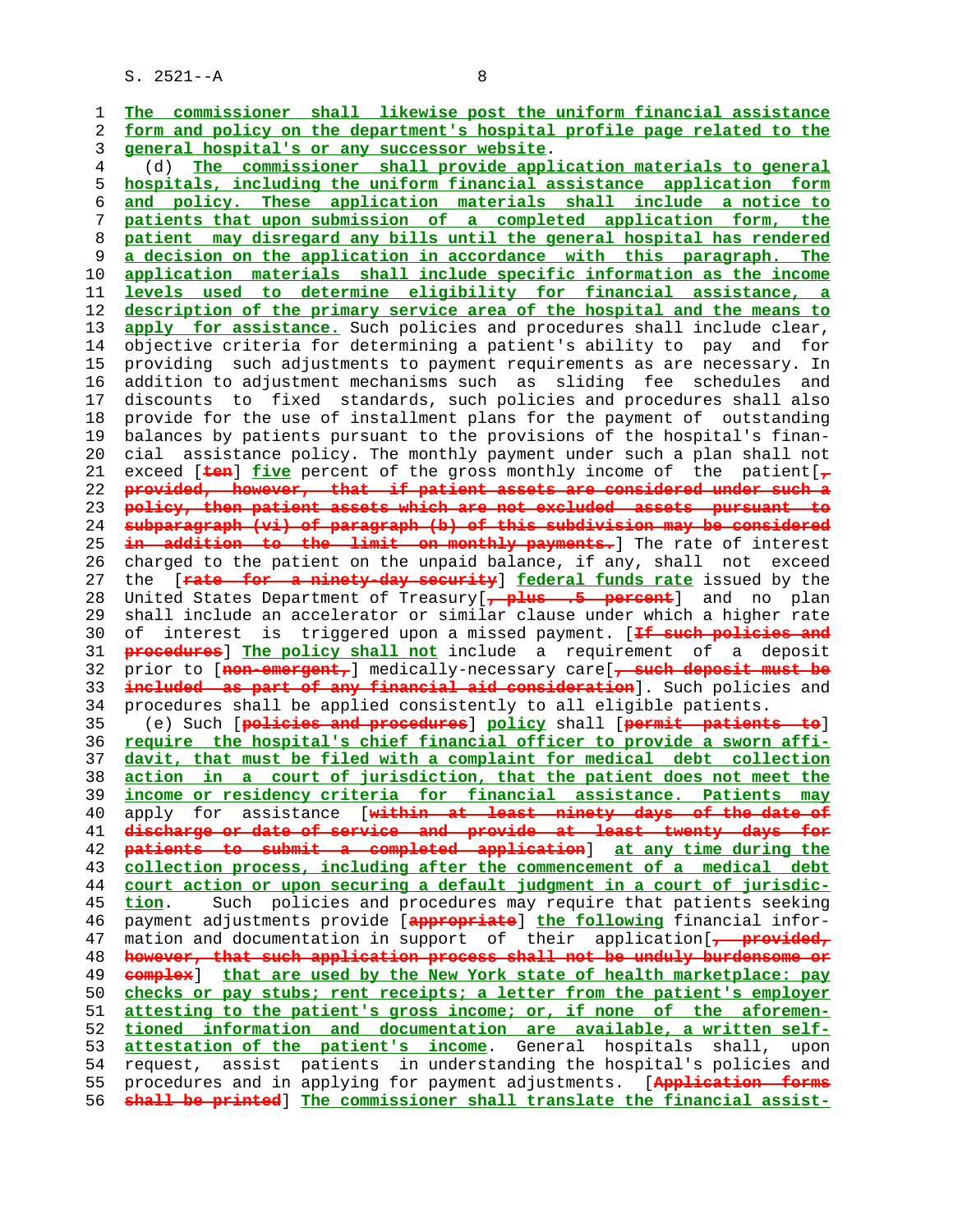1 **The commissioner shall likewise post the uniform financial assistance** 2 **form and policy on the department's hospital profile page related to the** 3 **general hospital's or any successor website**. 4 (d) **The commissioner shall provide application materials to general** 5 **hospitals, including the uniform financial assistance application form** 6 **and policy. These application materials shall include a notice to** 7 **patients that upon submission of a completed application form, the** 8 **patient may disregard any bills until the general hospital has rendered** 9 **a decision on the application in accordance with this paragraph. The** 10 **application materials shall include specific information as the income** 11 **levels used to determine eligibility for financial assistance, a** 12 **description of the primary service area of the hospital and the means to** 13 **apply for assistance.** Such policies and procedures shall include clear, 14 objective criteria for determining a patient's ability to pay and for 15 providing such adjustments to payment requirements as are necessary. In 16 addition to adjustment mechanisms such as sliding fee schedules and 17 discounts to fixed standards, such policies and procedures shall also 18 provide for the use of installment plans for the payment of outstanding 19 balances by patients pursuant to the provisions of the hospital's finan- 20 cial assistance policy. The monthly payment under such a plan shall not 21 exceed [**ten**] **five** percent of the gross monthly income of the patient[**,** 22 **provided, however, that if patient assets are considered under such a** 23 **policy, then patient assets which are not excluded assets pursuant to** 24 **subparagraph (vi) of paragraph (b) of this subdivision may be considered** 25 **in addition to the limit on monthly payments.**] The rate of interest 26 charged to the patient on the unpaid balance, if any, shall not exceed 27 the [**rate for a ninety-day security**] **federal funds rate** issued by the 28 United States Department of Treasury[**, plus .5 percent**] and no plan 29 shall include an accelerator or similar clause under which a higher rate 30 of interest is triggered upon a missed payment. [**If such policies and** 31 **procedures**] **The policy shall not** include a requirement of a deposit 32 prior to [**non-emergent,**] medically-necessary care[**, such deposit must be** 33 **included as part of any financial aid consideration**]. Such policies and 34 procedures shall be applied consistently to all eligible patients. 35 (e) Such [**policies and procedures**] **policy** shall [**permit patients to**] 36 **require the hospital's chief financial officer to provide a sworn affi-** 37 **davit, that must be filed with a complaint for medical debt collection** 38 **action in a court of jurisdiction, that the patient does not meet the** 39 **income or residency criteria for financial assistance. Patients may** 40 apply for assistance [**within at least ninety days of the date of**

**discharge or date of service and provide at least twenty days for patients to submit a completed application**] **at any time during the collection process, including after the commencement of a medical debt court action or upon securing a default judgment in a court of jurisdic- tion**. Such policies and procedures may require that patients seeking 46 payment adjustments provide [**appropriate**] **the following** financial infor- 47 mation and documentation in support of their application[**, provided, however, that such application process shall not be unduly burdensome or complex**] **that are used by the New York state of health marketplace: pay checks or pay stubs; rent receipts; a letter from the patient's employer attesting to the patient's gross income; or, if none of the aforemen- tioned information and documentation are available, a written self- attestation of the patient's income**. General hospitals shall, upon 54 request, assist patients in understanding the hospital's policies and 55 procedures and in applying for payment adjustments. [**Application forms shall be printed**] **The commissioner shall translate the financial assist-**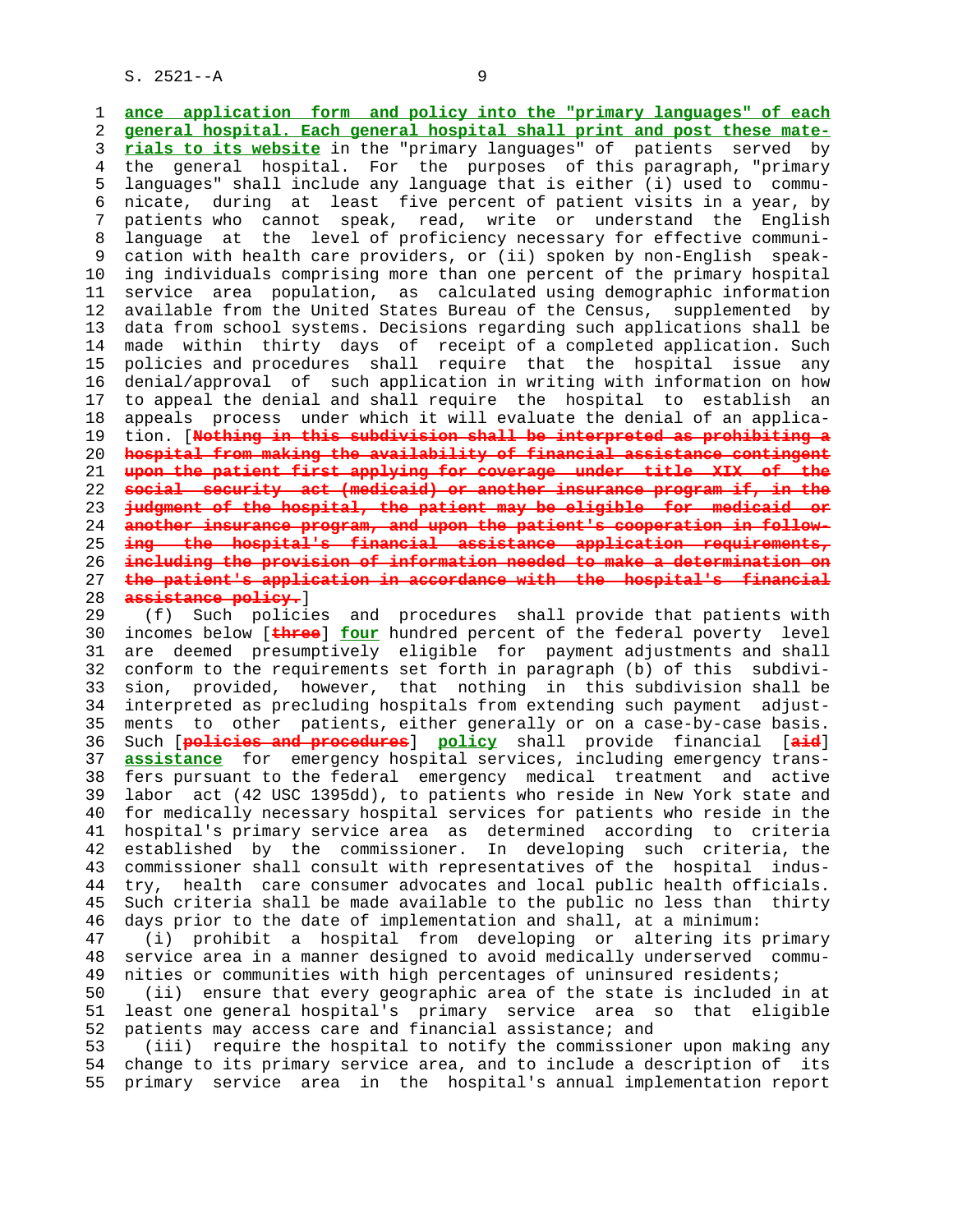1 **ance application form and policy into the "primary languages" of each** 2 **general hospital. Each general hospital shall print and post these mate-** 3 **rials to its website** in the "primary languages" of patients served by 4 the general hospital. For the purposes of this paragraph, "primary 5 languages" shall include any language that is either (i) used to commu- 6 nicate, during at least five percent of patient visits in a year, by 7 patients who cannot speak, read, write or understand the English 8 language at the level of proficiency necessary for effective communi- 9 cation with health care providers, or (ii) spoken by non-English speak- 10 ing individuals comprising more than one percent of the primary hospital 11 service area population, as calculated using demographic information 12 available from the United States Bureau of the Census, supplemented by 13 data from school systems. Decisions regarding such applications shall be 14 made within thirty days of receipt of a completed application. Such 15 policies and procedures shall require that the hospital issue any 16 denial/approval of such application in writing with information on how 17 to appeal the denial and shall require the hospital to establish an 18 appeals process under which it will evaluate the denial of an applica- 19 tion. [**Nothing in this subdivision shall be interpreted as prohibiting a** 20 **hospital from making the availability of financial assistance contingent** 21 **upon the patient first applying for coverage under title XIX of the** 22 **social security act (medicaid) or another insurance program if, in the** 23 **judgment of the hospital, the patient may be eligible for medicaid or** 24 **another insurance program, and upon the patient's cooperation in follow-** 25 **ing the hospital's financial assistance application requirements,** 26 **including the provision of information needed to make a determination on** 27 **the patient's application in accordance with the hospital's financial** 28 **assistance policy.**]

 29 (f) Such policies and procedures shall provide that patients with 30 incomes below [**three**] **four** hundred percent of the federal poverty level 31 are deemed presumptively eligible for payment adjustments and shall 32 conform to the requirements set forth in paragraph (b) of this subdivi- 33 sion, provided, however, that nothing in this subdivision shall be 34 interpreted as precluding hospitals from extending such payment adjust- 35 ments to other patients, either generally or on a case-by-case basis. 36 Such [**policies and procedures**] **policy** shall provide financial [**aid**] 37 **assistance** for emergency hospital services, including emergency trans- 38 fers pursuant to the federal emergency medical treatment and active 39 labor act (42 USC 1395dd), to patients who reside in New York state and 40 for medically necessary hospital services for patients who reside in the 41 hospital's primary service area as determined according to criteria 42 established by the commissioner. In developing such criteria, the 43 commissioner shall consult with representatives of the hospital indus- 44 try, health care consumer advocates and local public health officials. 45 Such criteria shall be made available to the public no less than thirty 46 days prior to the date of implementation and shall, at a minimum: 47 (i) prohibit a hospital from developing or altering its primary 48 service area in a manner designed to avoid medically underserved commu- 49 nities or communities with high percentages of uninsured residents; 50 (ii) ensure that every geographic area of the state is included in at 51 least one general hospital's primary service area so that eligible 52 patients may access care and financial assistance; and 53 (iii) require the hospital to notify the commissioner upon making any 54 change to its primary service area, and to include a description of its 55 primary service area in the hospital's annual implementation report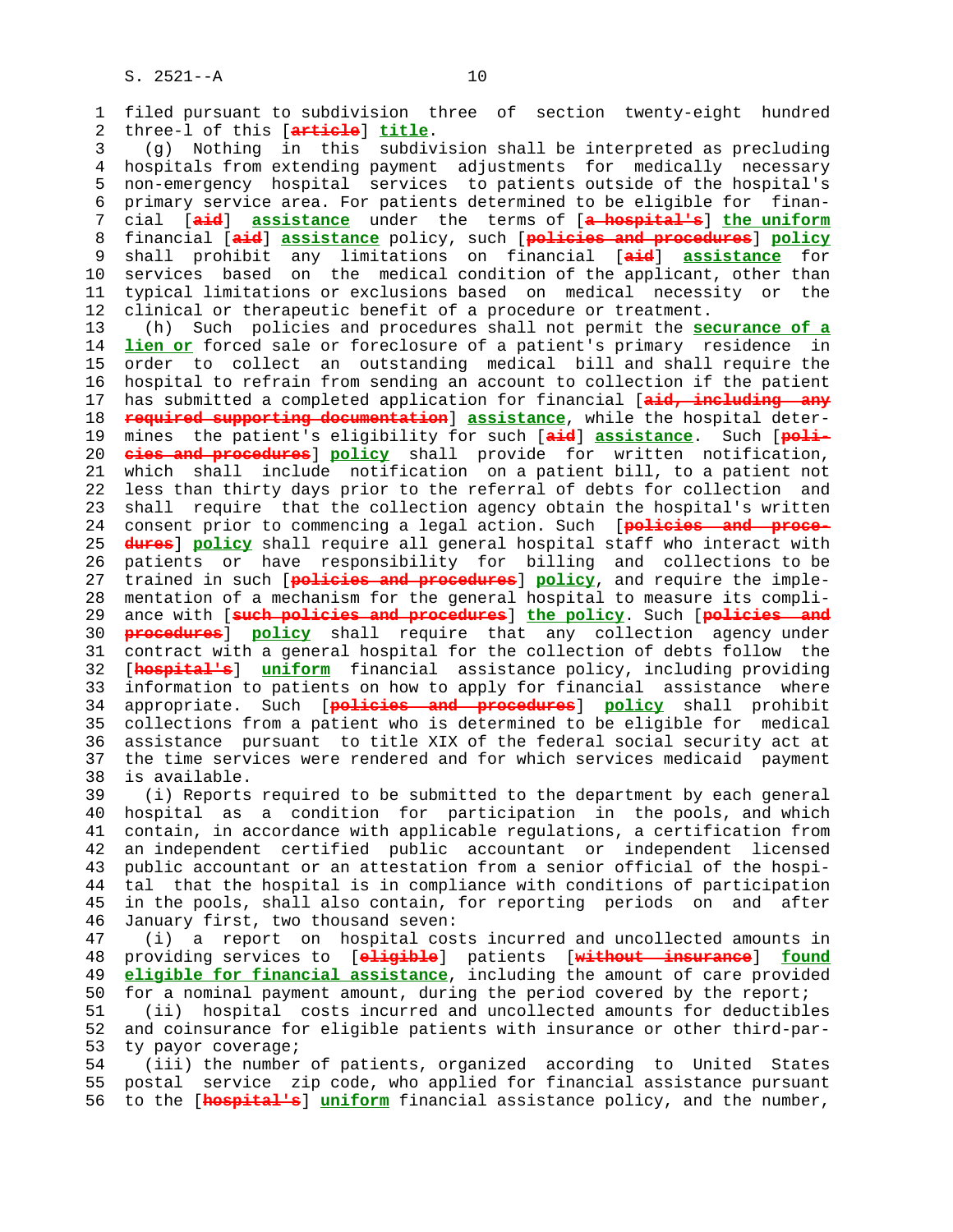1 filed pursuant to subdivision three of section twenty-eight hundred 2 three-l of this [**article**] **title**. 3 (g) Nothing in this subdivision shall be interpreted as precluding 4 hospitals from extending payment adjustments for medically necessary 5 non-emergency hospital services to patients outside of the hospital's 6 primary service area. For patients determined to be eligible for finan- 7 cial [**aid**] **assistance** under the terms of [**a hospital's**] **the uniform** 8 financial [**aid**] **assistance** policy, such [**policies and procedures**] **policy** 9 shall prohibit any limitations on financial [**aid**] **assistance** for 10 services based on the medical condition of the applicant, other than 11 typical limitations or exclusions based on medical necessity or the 12 clinical or therapeutic benefit of a procedure or treatment. 13 (h) Such policies and procedures shall not permit the **securance of a** 14 **lien or** forced sale or foreclosure of a patient's primary residence in 15 order to collect an outstanding medical bill and shall require the 16 hospital to refrain from sending an account to collection if the patient 17 has submitted a completed application for financial [**aid, including any** 18 **required supporting documentation**] **assistance**, while the hospital deter- 19 mines the patient's eligibility for such [**aid**] **assistance**. Such [**poli-** 20 **cies and procedures**] **policy** shall provide for written notification, 21 which shall include notification on a patient bill, to a patient not 22 less than thirty days prior to the referral of debts for collection and 23 shall require that the collection agency obtain the hospital's written 24 consent prior to commencing a legal action. Such [**policies and proce-** 25 **dures**] **policy** shall require all general hospital staff who interact with 26 patients or have responsibility for billing and collections to be 27 trained in such [**policies and procedures**] **policy**, and require the imple- 28 mentation of a mechanism for the general hospital to measure its compli- 29 ance with [**such policies and procedures**] **the policy**. Such [**policies and** 30 **procedures**] **policy** shall require that any collection agency under 31 contract with a general hospital for the collection of debts follow the 32 [**hospital's**] **uniform** financial assistance policy, including providing 33 information to patients on how to apply for financial assistance where 34 appropriate. Such [**policies and procedures**] **policy** shall prohibit 35 collections from a patient who is determined to be eligible for medical 36 assistance pursuant to title XIX of the federal social security act at 37 the time services were rendered and for which services medicaid payment 38 is available. 39 (i) Reports required to be submitted to the department by each general 40 hospital as a condition for participation in the pools, and which 41 contain, in accordance with applicable regulations, a certification from 42 an independent certified public accountant or independent licensed 43 public accountant or an attestation from a senior official of the hospi- 44 tal that the hospital is in compliance with conditions of participation 45 in the pools, shall also contain, for reporting periods on and after 46 January first, two thousand seven: 47 (i) a report on hospital costs incurred and uncollected amounts in 48 providing services to [**eligible**] patients [**without insurance**] **found** 49 **eligible for financial assistance**, including the amount of care provided 50 for a nominal payment amount, during the period covered by the report; 51 (ii) hospital costs incurred and uncollected amounts for deductibles 52 and coinsurance for eligible patients with insurance or other third-par- 53 ty payor coverage; 54 (iii) the number of patients, organized according to United States

 55 postal service zip code, who applied for financial assistance pursuant 56 to the [**hospital's**] **uniform** financial assistance policy, and the number,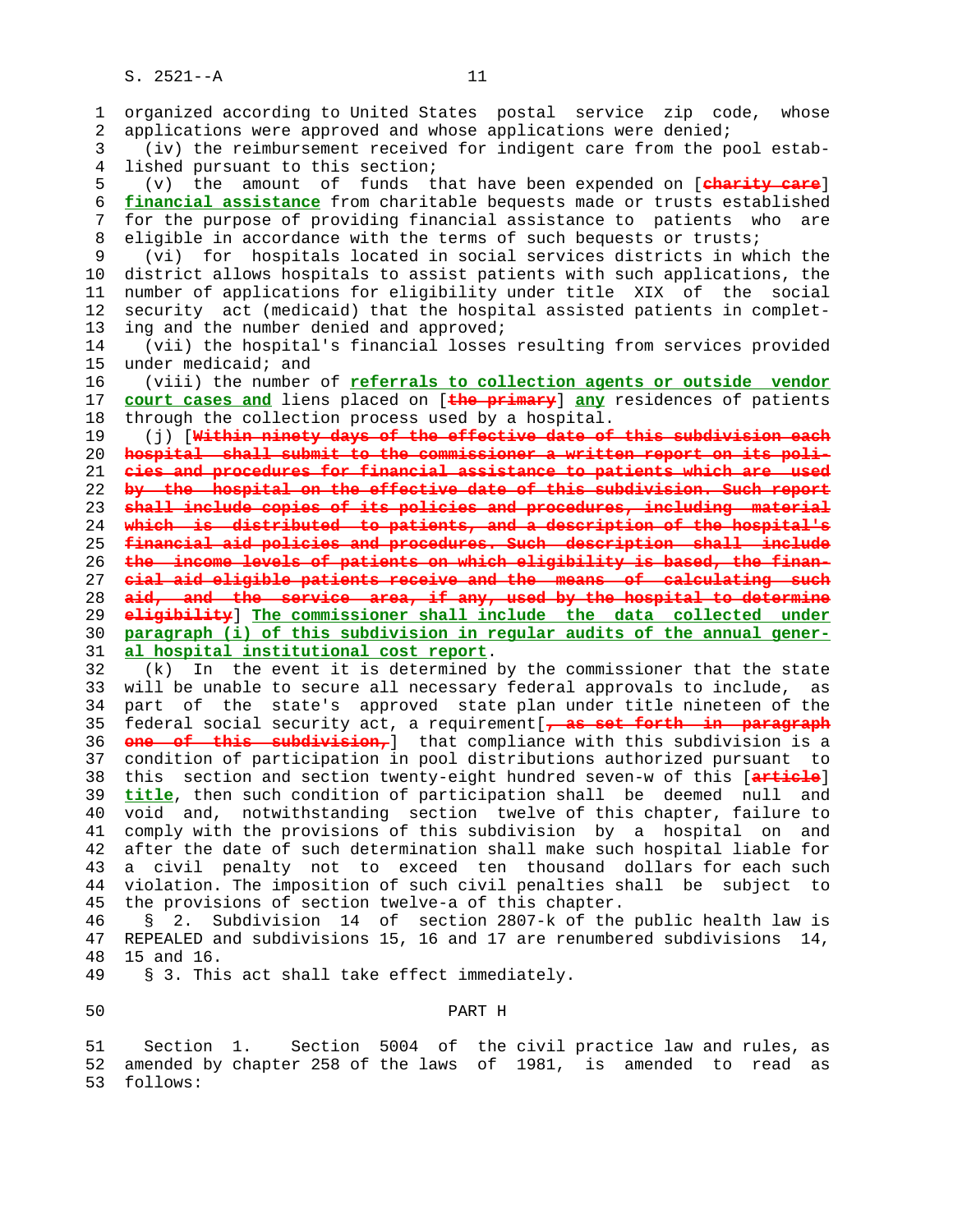1 organized according to United States postal service zip code, whose 2 applications were approved and whose applications were denied; 3 (iv) the reimbursement received for indigent care from the pool estab- 4 lished pursuant to this section; 5 (v) the amount of funds that have been expended on [**charity care**] 6 **financial assistance** from charitable bequests made or trusts established 7 for the purpose of providing financial assistance to patients who are 8 eligible in accordance with the terms of such bequests or trusts;<br>9 (vi) for hospitals located in social services districts in wh (vi) for hospitals located in social services districts in which the 10 district allows hospitals to assist patients with such applications, the 11 number of applications for eligibility under title XIX of the social 12 security act (medicaid) that the hospital assisted patients in complet- 13 ing and the number denied and approved; 14 (vii) the hospital's financial losses resulting from services provided 15 under medicaid; and 16 (viii) the number of **referrals to collection agents or outside vendor** 17 **court cases and** liens placed on [**the primary**] **any** residences of patients 18 through the collection process used by a hospital. 19 (j) [**Within ninety days of the effective date of this subdivision each** 20 **hospital shall submit to the commissioner a written report on its poli-** 21 **cies and procedures for financial assistance to patients which are used** 22 **by the hospital on the effective date of this subdivision. Such report** 23 **shall include copies of its policies and procedures, including material** 24 **which is distributed to patients, and a description of the hospital's** 25 **financial aid policies and procedures. Such description shall include** 26 **the income levels of patients on which eligibility is based, the finan-** 27 **cial aid eligible patients receive and the means of calculating such** 28 **aid, and the service area, if any, used by the hospital to determine** 29 **eligibility**] **The commissioner shall include the data collected under** 30 **paragraph (i) of this subdivision in regular audits of the annual gener-** 31 **al hospital institutional cost report**. 32 (k) In the event it is determined by the commissioner that the state 33 will be unable to secure all necessary federal approvals to include, as 34 part of the state's approved state plan under title nineteen of the 35 federal social security act, a requirement[**, as set forth in paragraph** 36 **one of this subdivision,**] that compliance with this subdivision is a 37 condition of participation in pool distributions authorized pursuant to 38 this section and section twenty-eight hundred seven-w of this [**article**] 39 **title**, then such condition of participation shall be deemed null and 40 void and, notwithstanding section twelve of this chapter, failure to 41 comply with the provisions of this subdivision by a hospital on and 42 after the date of such determination shall make such hospital liable for 43 a civil penalty not to exceed ten thousand dollars for each such 44 violation. The imposition of such civil penalties shall be subject to 45 the provisions of section twelve-a of this chapter. 46 § 2. Subdivision 14 of section 2807-k of the public health law is 47 REPEALED and subdivisions 15, 16 and 17 are renumbered subdivisions 14, 48 15 and 16. 49 § 3. This act shall take effect immediately.

## 50 PART H

 51 Section 1. Section 5004 of the civil practice law and rules, as 52 amended by chapter 258 of the laws of 1981, is amended to read as 53 follows: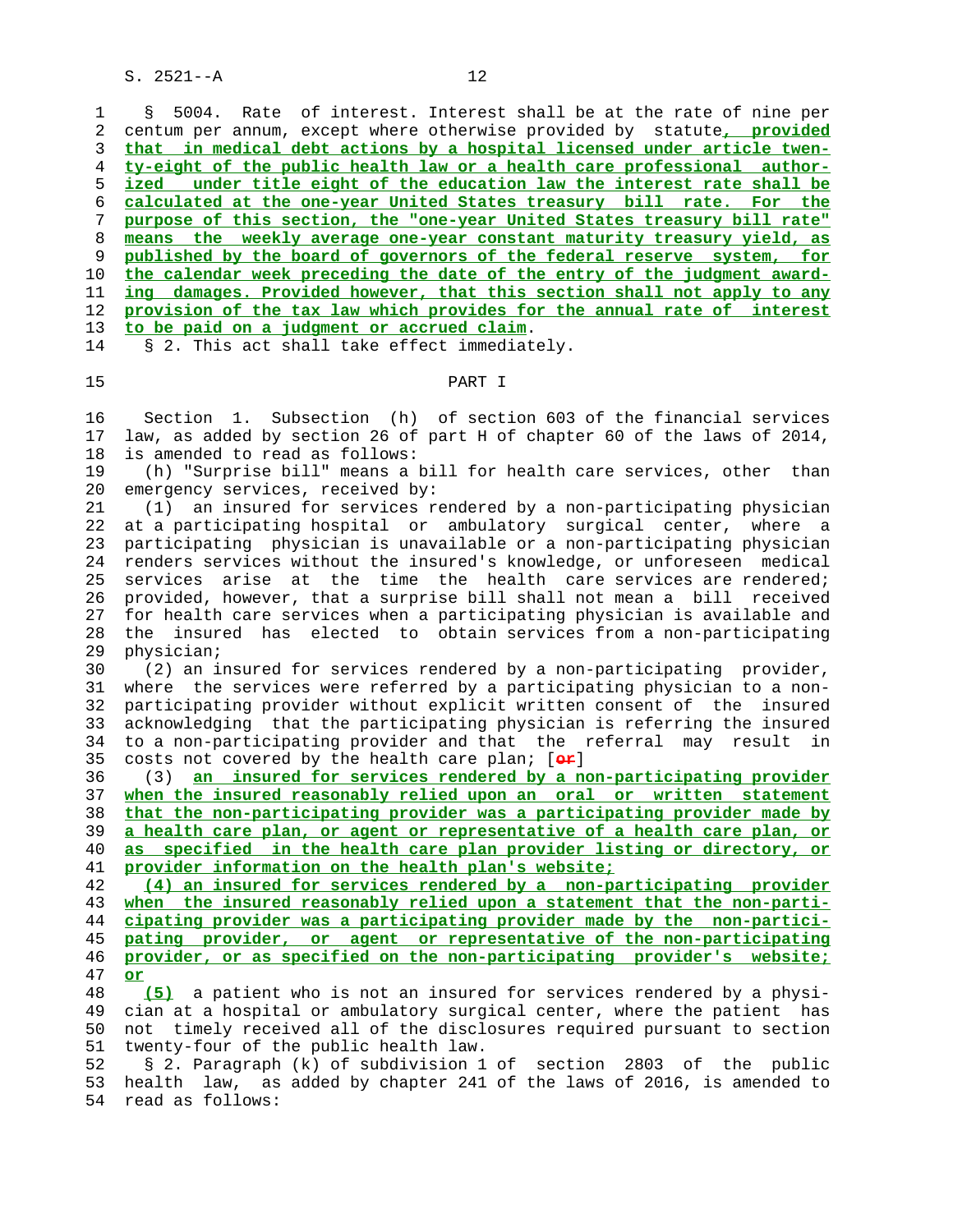1 § 5004. Rate of interest. Interest shall be at the rate of nine per 2 centum per annum, except where otherwise provided by statute**, provided that in medical debt actions by a hospital licensed under article twen- ty-eight of the public health law or a health care professional author- ized under title eight of the education law the interest rate shall be calculated at the one-year United States treasury bill rate. For the purpose of this section, the "one-year United States treasury bill rate" means the weekly average one-year constant maturity treasury yield, as published by the board of governors of the federal reserve system, for the calendar week preceding the date of the entry of the judgment award- ing damages. Provided however, that this section shall not apply to any provision of the tax law which provides for the annual rate of interest to be paid on a judgment or accrued claim**. 14 § 2. This act shall take effect immediately.

## 15 PART I

 16 Section 1. Subsection (h) of section 603 of the financial services 17 law, as added by section 26 of part H of chapter 60 of the laws of 2014, 18 is amended to read as follows:

 19 (h) "Surprise bill" means a bill for health care services, other than 20 emergency services, received by:

 21 (1) an insured for services rendered by a non-participating physician 22 at a participating hospital or ambulatory surgical center, where a 23 participating physician is unavailable or a non-participating physician 24 renders services without the insured's knowledge, or unforeseen medical 25 services arise at the time the health care services are rendered; 26 provided, however, that a surprise bill shall not mean a bill received 27 for health care services when a participating physician is available and 28 the insured has elected to obtain services from a non-participating 29 physician;

 30 (2) an insured for services rendered by a non-participating provider, 31 where the services were referred by a participating physician to a non- 32 participating provider without explicit written consent of the insured 33 acknowledging that the participating physician is referring the insured 34 to a non-participating provider and that the referral may result in 35 costs not covered by the health care plan; [**or**]

 36 (3) **an insured for services rendered by a non-participating provider when the insured reasonably relied upon an oral or written statement that the non-participating provider was a participating provider made by a health care plan, or agent or representative of a health care plan, or as specified in the health care plan provider listing or directory, or provider information on the health plan's website;**

**(4) an insured for services rendered by a non-participating provider when the insured reasonably relied upon a statement that the non-parti- cipating provider was a participating provider made by the non-partici- pating provider, or agent or representative of the non-participating provider, or as specified on the non-participating provider's website;** 47 **or**

 48 **(5)** a patient who is not an insured for services rendered by a physi- 49 cian at a hospital or ambulatory surgical center, where the patient has 50 not timely received all of the disclosures required pursuant to section 51 twenty-four of the public health law.

 52 § 2. Paragraph (k) of subdivision 1 of section 2803 of the public 53 health law, as added by chapter 241 of the laws of 2016, is amended to 54 read as follows: